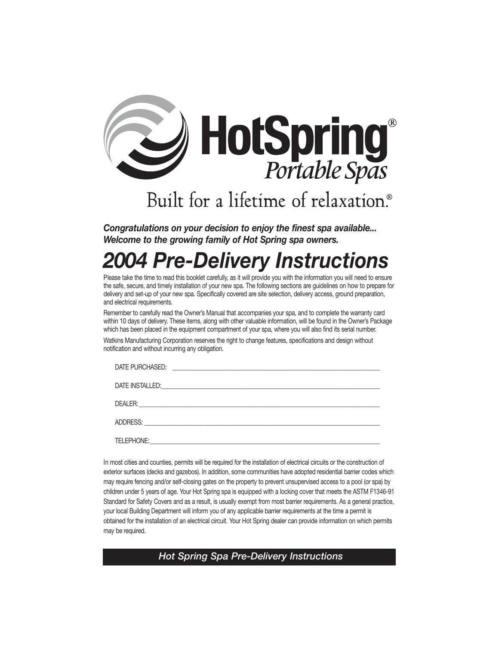

# Built for a lifetime of relaxation.<sup>®</sup>

*Congratulations on your decision to enjoy the finest spa available... Welcome to the growing family of Hot Spring spa owners.*

# *2004 Pre-Delivery Instructions*

Please take the time to read this booklet carefully, as it will provide you with the information you will need to ensure the safe, secure, and timely installation of your new spa. The following sections are guidelines on how to prepare for delivery and set-up of your new spa. Specifically covered are site selection, delivery access, ground preparation, and electrical requirements.

Remember to carefully read the Owner's Manual that accompanies your spa, and to complete the warranty card within 10 days of delivery. These items, along with other valuable information, will be found in the Owner's Package which has been placed in the equipment compartment of your spa, where you will also find its serial number.

Watkins Manufacturing Corporation reserves the right to change features, specifications and design without notification and without incurring any obligation.

| DATE PURCHASED: | <u> 1988 - Jan Barbara, martin da basar da basar da basar da basar da basar da basar da basar da basar da basar</u> |  |
|-----------------|---------------------------------------------------------------------------------------------------------------------|--|
|                 |                                                                                                                     |  |
|                 |                                                                                                                     |  |
|                 |                                                                                                                     |  |
| TELEPHONE:      |                                                                                                                     |  |

In most cities and counties, permits will be required for the installation of electrical circuits or the construction of exterior surfaces (decks and gazebos). In addition, some communities have adopted residential barrier codes which may require fencing and/or self-closing gates on the property to prevent unsupervised access to a pool (or spa) by children under 5 years of age. Your Hot Spring spa is equipped with a locking cover that meets the ASTM F1346-91 Standard for Safety Covers and as a result, is usually exempt from most barrier requirements. As a general practice, your local Building Department will inform you of any applicable barrier requirements at the time a permit is obtained for the installation of an electrical circuit. Your Hot Spring dealer can provide information on which permits may be required.

*x Add Spring Spa Pre-Delivery Instructions*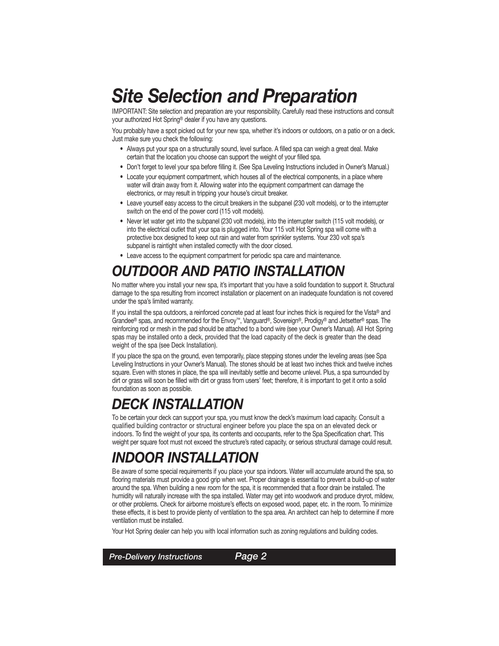## *Site Selection and Preparation*

IMPORTANT: Site selection and preparation are your responsibility. Carefully read these instructions and consult your authorized Hot Spring® dealer if you have any questions.

You probably have a spot picked out for your new spa, whether it's indoors or outdoors, on a patio or on a deck. Just make sure you check the following:

- Always put your spa on a structurally sound, level surface. A filled spa can weigh a great deal. Make certain that the location you choose can support the weight of your filled spa.
- Don't forget to level your spa before filling it. (See Spa Leveling Instructions included in Owner's Manual.)
- Locate your equipment compartment, which houses all of the electrical components, in a place where water will drain away from it. Allowing water into the equipment compartment can damage the electronics, or may result in tripping your house's circuit breaker.
- Leave yourself easy access to the circuit breakers in the subpanel (230 volt models), or to the interrupter switch on the end of the power cord (115 volt models).
- Never let water get into the subpanel (230 volt models), into the interrupter switch (115 volt models), or into the electrical outlet that your spa is plugged into. Your 115 volt Hot Spring spa will come with a protective box designed to keep out rain and water from sprinkler systems. Your 230 volt spa's subpanel is raintight when installed correctly with the door closed.
- Leave access to the equipment compartment for periodic spa care and maintenance.

## *OUTDOOR AND PATIO INSTALLATION*

No matter where you install your new spa, it's important that you have a solid foundation to support it. Structural damage to the spa resulting from incorrect installation or placement on an inadequate foundation is not covered under the spa's limited warranty.

If you install the spa outdoors, a reinforced concrete pad at least four inches thick is required for the Vista® and Grandee® spas, and recommended for the Envoy™, Vanguard®, Sovereign®, Prodigy® and Jetsetter® spas. The reinforcing rod or mesh in the pad should be attached to a bond wire (see your Owner's Manual). All Hot Spring spas may be installed onto a deck, provided that the load capacity of the deck is greater than the dead weight of the spa (see Deck Installation).

If you place the spa on the ground, even temporarily, place stepping stones under the leveling areas (see Spa Leveling Instructions in your Owner's Manual). The stones should be at least two inches thick and twelve inches square. Even with stones in place, the spa will inevitably settle and become unlevel. Plus, a spa surrounded by dirt or grass will soon be filled with dirt or grass from users' feet; therefore, it is important to get it onto a solid foundation as soon as possible.

## *DECK INSTALLATION*

To be certain your deck can support your spa, you must know the deck's maximum load capacity. Consult a qualified building contractor or structural engineer before you place the spa on an elevated deck or indoors. To find the weight of your spa, its contents and occupants, refer to the Spa Specification chart. This weight per square foot must not exceed the structure's rated capacity, or serious structural damage could result.

## *INDOOR INSTALLATION*

Be aware of some special requirements if you place your spa indoors. Water will accumulate around the spa, so flooring materials must provide a good grip when wet. Proper drainage is essential to prevent a build-up of water around the spa. When building a new room for the spa, it is recommended that a floor drain be installed. The humidity will naturally increase with the spa installed. Water may get into woodwork and produce dryrot, mildew, or other problems. Check for airborne moisture's effects on exposed wood, paper, etc. in the room. To minimize these effects, it is best to provide plenty of ventilation to the spa area. An architect can help to determine if more ventilation must be installed.

Your Hot Spring dealer can help you with local information such as zoning regulations and building codes.

*x Page x x Pre-Delivery Instructions Page 2*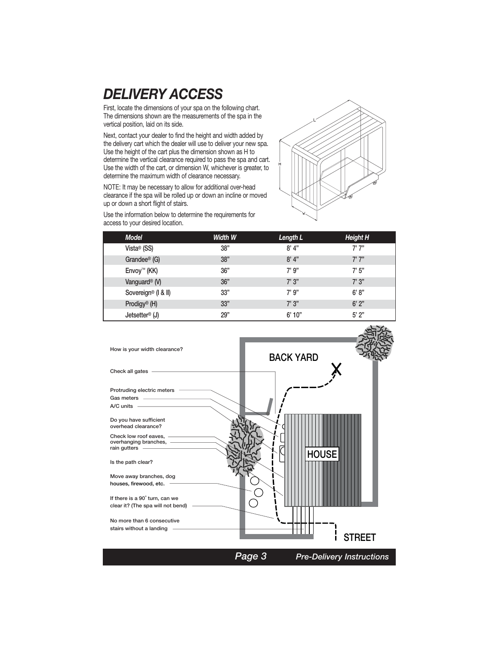### *DELIVERY ACCESS*

First, locate the dimensions of your spa on the following chart. The dimensions shown are the measurements of the spa in the vertical position, laid on its side.

Next, contact your dealer to find the height and width added by the delivery cart which the dealer will use to deliver your new spa. Use the height of the cart plus the dimension shown as H to determine the vertical clearance required to pass the spa and cart. Use the width of the cart, or dimension W, whichever is greater, to determine the maximum width of clearance necessary.

NOTE: It may be necessary to allow for additional over-head clearance if the spa will be rolled up or down an incline or moved up or down a short flight of stairs.



Use the information below to determine the requirements for access to your desired location.

| <b>Model</b>                    | Width W | Length L | Height H |
|---------------------------------|---------|----------|----------|
| Vista <sup>®</sup> (SS)         | 38"     | 8'4"     | 7'7''    |
| Grandee <sup>®</sup> (G)        | 38"     | 8'4"     | 7'7''    |
| Envoy™ (KK)                     | 36"     | 7' 9"    | 7' 5"    |
| Vanguard <sup>®</sup> (V)       | 36"     | 7'3''    | 7'3''    |
| Sovereign <sup>®</sup> (I & II) | 33"     | 7' 9"    | 6' 8''   |
| Prodigy <sup>®</sup> (H)        | 33"     | 7'3''    | 6'2"     |
| Jetsetter <sup>®</sup> (J)      | 29"     | 6'10"    | 5'2"     |

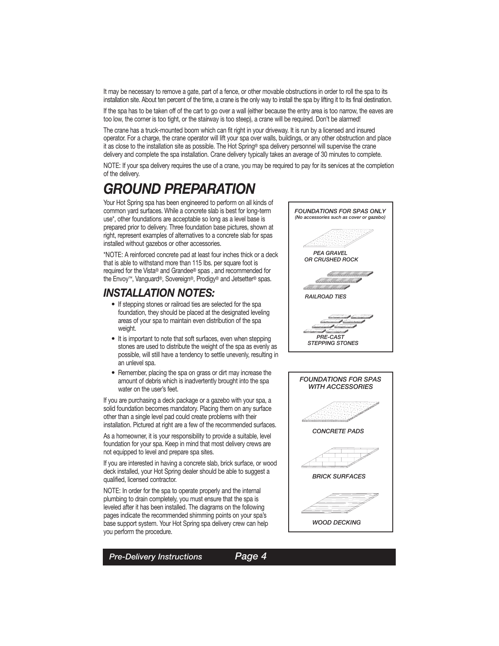It may be necessary to remove a gate, part of a fence, or other movable obstructions in order to roll the spa to its installation site. About ten percent of the time, a crane is the only way to install the spa by lifting it to its final destination.

If the spa has to be taken off of the cart to go over a wall (either because the entry area is too narrow, the eaves are too low, the corner is too tight, or the stairway is too steep), a crane will be required. Don't be alarmed!

The crane has a truck-mounted boom which can fit right in your driveway. It is run by a licensed and insured operator. For a charge, the crane operator will lift your spa over walls, buildings, or any other obstruction and place it as close to the installation site as possible. The Hot Spring® spa delivery personnel will supervise the crane delivery and complete the spa installation. Crane delivery typically takes an average of 30 minutes to complete.

NOTE: If your spa delivery requires the use of a crane, you may be required to pay for its services at the completion of the delivery.

## *GROUND PREPARATION*

Your Hot Spring spa has been engineered to perform on all kinds of common yard surfaces. While a concrete slab is best for long-term use\*, other foundations are acceptable so long as a level base is prepared prior to delivery. Three foundation base pictures, shown at right, represent examples of alternatives to a concrete slab for spas installed without gazebos or other accessories.

\*NOTE: A reinforced concrete pad at least four inches thick or a deck that is able to withstand more than 115 lbs. per square foot is required for the Vista® and Grandee® spas , and recommended for the Envoy™, Vanguard®, Sovereign®, Prodigy® and Jetsetter® spas.

#### *INSTALLATION NOTES:*

- If stepping stones or railroad ties are selected for the spa foundation, they should be placed at the designated leveling areas of your spa to maintain even distribution of the spa weight.
- It is important to note that soft surfaces, even when stepping stones are used to distribute the weight of the spa as evenly as possible, will still have a tendency to settle unevenly, resulting in an unlevel spa.
- Remember, placing the spa on grass or dirt may increase the amount of debris which is inadvertently brought into the spa water on the user's feet.

If you are purchasing a deck package or a gazebo with your spa, a solid foundation becomes mandatory. Placing them on any surface other than a single level pad could create problems with their installation. Pictured at right are a few of the recommended surfaces.

As a homeowner, it is your responsibility to provide a suitable, level foundation for your spa. Keep in mind that most delivery crews are not equipped to level and prepare spa sites.

If you are interested in having a concrete slab, brick surface, or wood deck installed, your Hot Spring dealer should be able to suggest a qualified, licensed contractor.

NOTE: In order for the spa to operate properly and the internal plumbing to drain completely, you must ensure that the spa is leveled after it has been installed. The diagrams on the following pages indicate the recommended shimming points on your spa's base support system. Your Hot Spring spa delivery crew can help you perform the procedure.





*Pre-Delivery Instructions Page 4*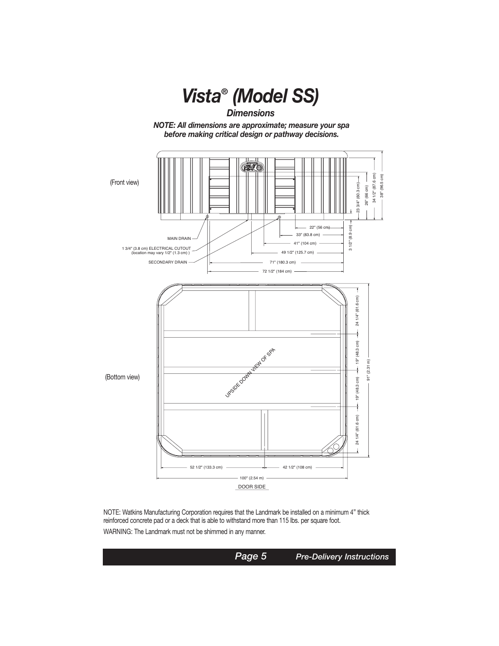

NOTE: Watkins Manufacturing Corporation requires that the Landmark be installed on a minimum 4" thick reinforced concrete pad or a deck that is able to withstand more than 115 lbs. per square foot. WARNING: The Landmark must not be shimmed in any manner.

**Page 5** *Pre-Delivery Instructions*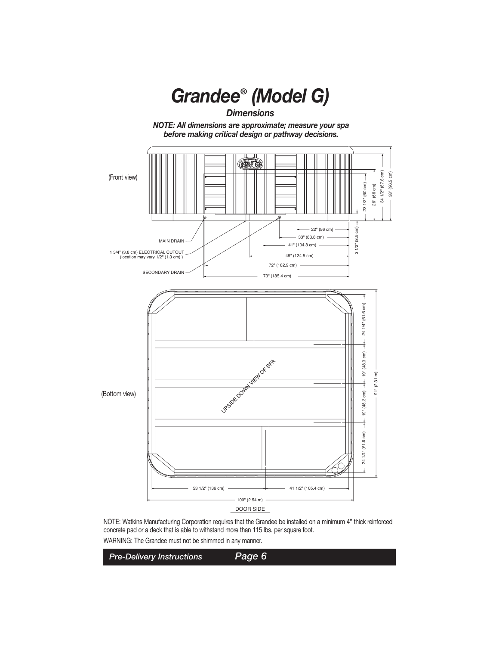

NOTE: Watkins Manufacturing Corporation requires that the Grandee be installed on a minimum 4" thick reinforced concrete pad or a deck that is able to withstand more than 115 lbs. per square foot. WARNING: The Grandee must not be shimmed in any manner.

*x Page x x Pre-Delivery Instructions Page 6*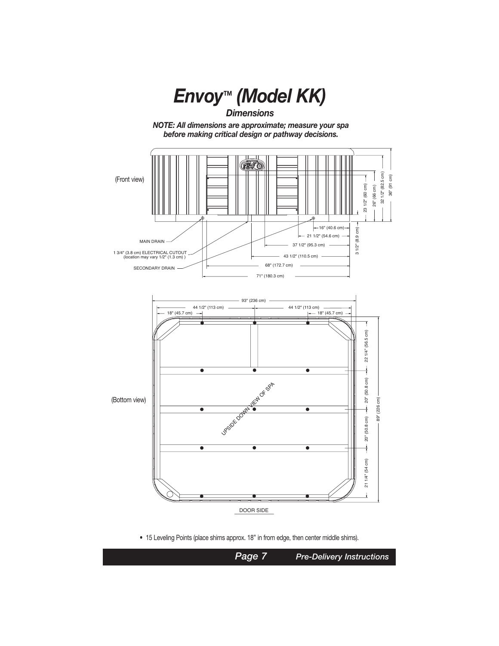

• 15 Leveling Points (place shims approx. 18" in from edge, then center middle shims).

*x Page x x Page 7 Pre-Delivery Instructions*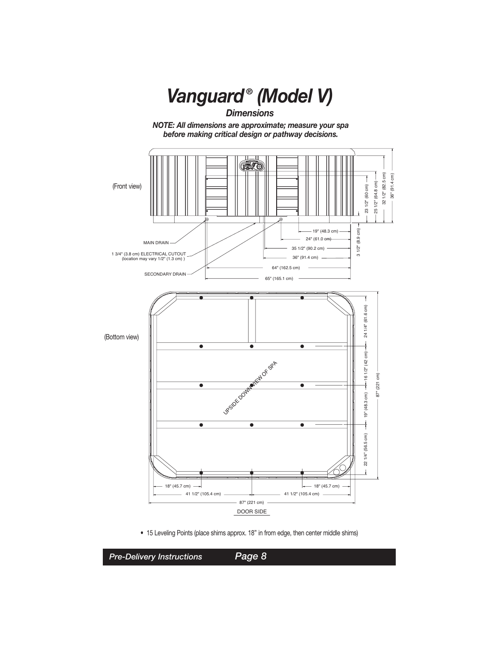

• 15 Leveling Points (place shims approx. 18" in from edge, then center middle shims)

*x Page x x Pre-Delivery Instructions Page 8*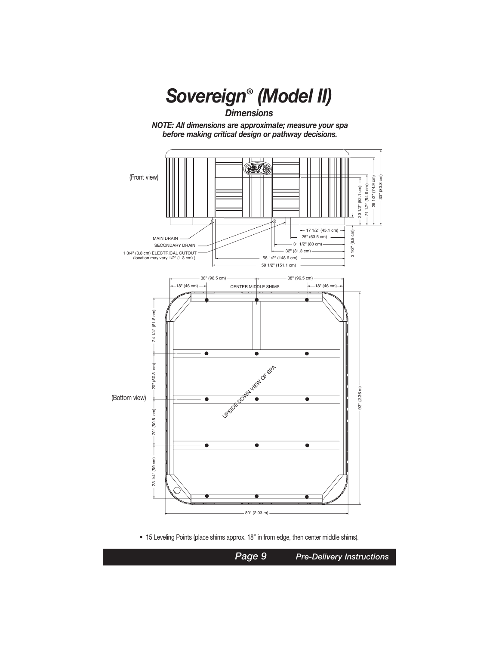

• 15 Leveling Points (place shims approx. 18" in from edge, then center middle shims).

*Page 9 Pre-Delivery Instructions*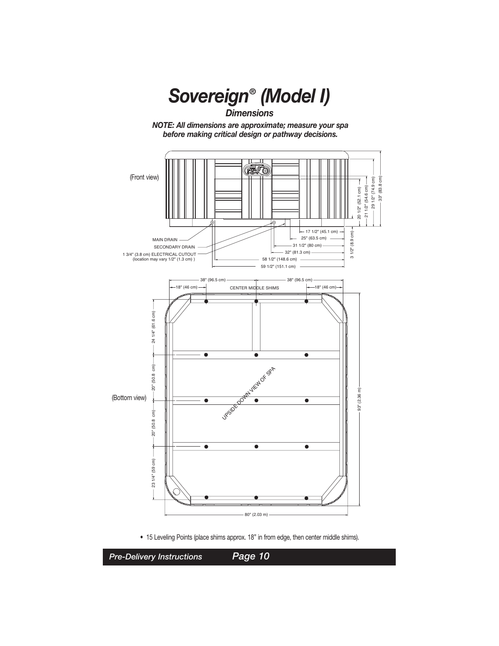

• 15 Leveling Points (place shims approx. 18" in from edge, then center middle shims).

*Pre-Delivery Instructions Page 10*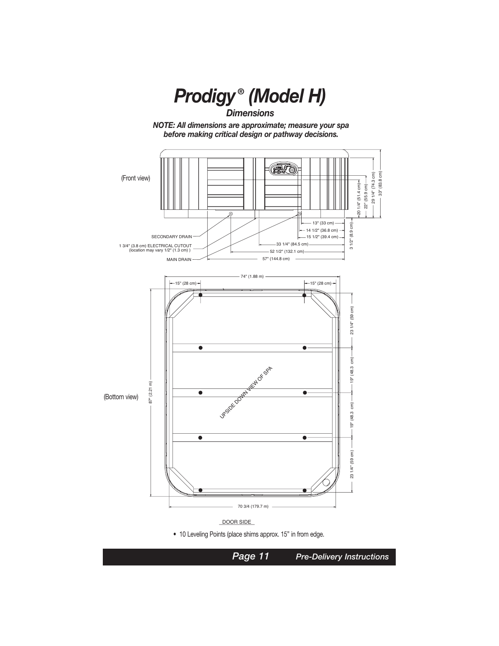

• 10 Leveling Points (place shims approx. 15" in from edge.

*x Page x x Page 11 Pre-Delivery Instructions*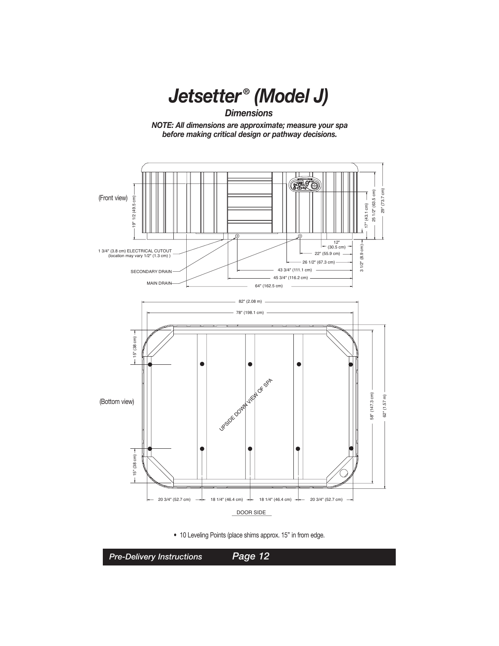

*Dimensions*

*NOTE: All dimensions are approximate; measure your spa before making critical design or pathway decisions.*





*x Page x x Pre-Delivery Instructions Page 12*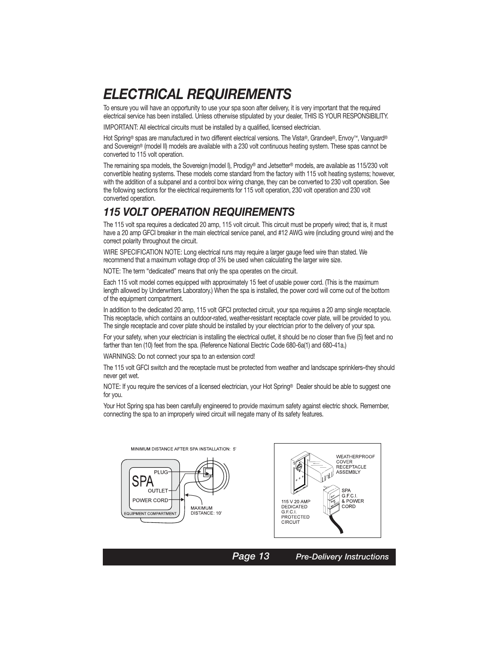### *ELECTRICAL REQUIREMENTS*

To ensure you will have an opportunity to use your spa soon after delivery, it is very important that the required electrical service has been installed. Unless otherwise stipulated by your dealer, THIS IS YOUR RESPONSIBILITY.

IMPORTANT: All electrical circuits must be installed by a qualified, licensed electrician.

Hot Spring® spas are manufactured in two different electrical versions. The Vista®, Grandee®, Envoy™, Vanguard® and Sovereign® (model II) models are available with a 230 volt continuous heating system. These spas cannot be converted to 115 volt operation.

The remaining spa models, the Sovereign (model I), Prodigy® and Jetsetter® models, are available as 115/230 volt convertible heating systems. These models come standard from the factory with 115 volt heating systems; however, with the addition of a subpanel and a control box wiring change, they can be converted to 230 volt operation. See the following sections for the electrical requirements for 115 volt operation, 230 volt operation and 230 volt converted operation.

#### *115 VOLT OPERATION REQUIREMENTS*

The 115 volt spa requires a dedicated 20 amp, 115 volt circuit. This circuit must be properly wired; that is, it must have a 20 amp GFCI breaker in the main electrical service panel, and #12 AWG wire (including ground wire) and the correct polarity throughout the circuit.

WIRE SPECIFICATION NOTE: Long electrical runs may require a larger gauge feed wire than stated. We recommend that a maximum voltage drop of 3% be used when calculating the larger wire size.

NOTE: The term "dedicated" means that only the spa operates on the circuit.

Each 115 volt model comes equipped with approximately 15 feet of usable power cord. (This is the maximum length allowed by Underwriters Laboratory.) When the spa is installed, the power cord will come out of the bottom of the equipment compartment.

In addition to the dedicated 20 amp, 115 volt GFCI protected circuit, your spa requires a 20 amp single receptacle. This receptacle, which contains an outdoor-rated, weather-resistant receptacle cover plate, will be provided to you. The single receptacle and cover plate should be installed by your electrician prior to the delivery of your spa.

For your safety, when your electrician is installing the electrical outlet, it should be no closer than five (5) feet and no farther than ten (10) feet from the spa. (Reference National Electric Code 680-6a(1) and 680-41a.)

WARNINGS: Do not connect your spa to an extension cord!

The 115 volt GFCI switch and the receptacle must be protected from weather and landscape sprinklers–they should never get wet.

NOTE: If you require the services of a licensed electrician, your Hot Spring® Dealer should be able to suggest one for you.

Your Hot Spring spa has been carefully engineered to provide maximum safety against electric shock. Remember, connecting the spa to an improperly wired circuit will negate many of its safety features.





| Page 13 | <b>Pre-Delivery Instructions</b> |
|---------|----------------------------------|
|---------|----------------------------------|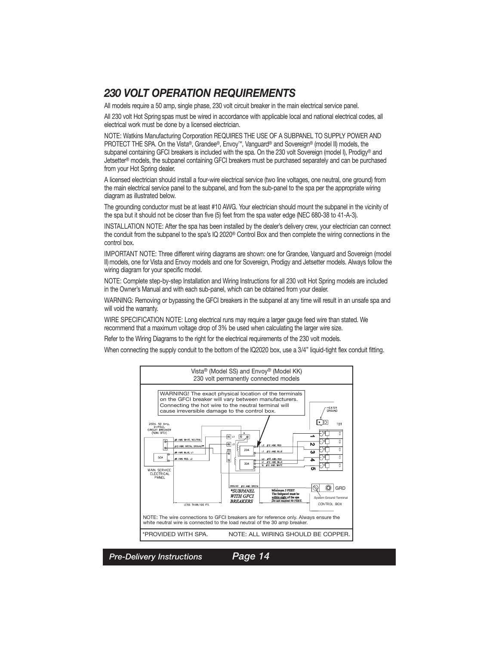### *230 VOLT OPERATION REQUIREMENTS*

All models require a 50 amp, single phase, 230 volt circuit breaker in the main electrical service panel.

All 230 volt Hot Spring spas must be wired in accordance with applicable local and national electrical codes, all electrical work must be done by a licensed electrician.

NOTE: Watkins Manufacturing Corporation REQUIRES THE USE OF A SUBPANEL TO SUPPLY POWER AND PROTECT THE SPA. On the Vista®, Grandee®, Envoy™, Vanguard® and Sovereign® (model II) models, the subpanel containing GFCI breakers is included with the spa. On the 230 volt Sovereign (model I), Prodigy® and Jetsetter® models, the subpanel containing GFCI breakers must be purchased separately and can be purchased from your Hot Spring dealer.

A licensed electrician should install a four-wire electrical service (two line voltages, one neutral, one ground) from the main electrical service panel to the subpanel, and from the sub-panel to the spa per the appropriate wiring diagram as illustrated below.

The grounding conductor must be at least #10 AWG. Your electrician should mount the subpanel in the vicinity of the spa but it should not be closer than five (5) feet from the spa water edge (NEC 680-38 to 41-A-3).

INSTALLATION NOTE: After the spa has been installed by the dealer's delivery crew, your electrician can connect the conduit from the subpanel to the spa's IQ 2020® Control Box and then complete the wiring connections in the control box.

IMPORTANT NOTE: Three different wiring diagrams are shown: one for Grandee, Vanguard and Sovereign (model II) models, one for Vista and Envoy models and one for Sovereign, Prodigy and Jetsetter models. Always follow the wiring diagram for your specific model.

NOTE: Complete step-by-step Installation and Wiring Instructions for all 230 volt Hot Spring models are included in the Owner's Manual and with each sub-panel, which can be obtained from your dealer.

WARNING: Removing or bypassing the GFCI breakers in the subpanel at any time will result in an unsafe spa and will void the warranty.

WIRE SPECIFICATION NOTE: Long electrical runs may require a larger gauge feed wire than stated. We recommend that a maximum voltage drop of 3% be used when calculating the larger wire size.

Refer to the Wiring Diagrams to the right for the electrical requirements of the 230 volt models.

When connecting the supply conduit to the bottom of the IQ2020 box, use a 3/4" liquid-tight flex conduit fitting.



*x Page x x Pre-Delivery Instructions Page 14*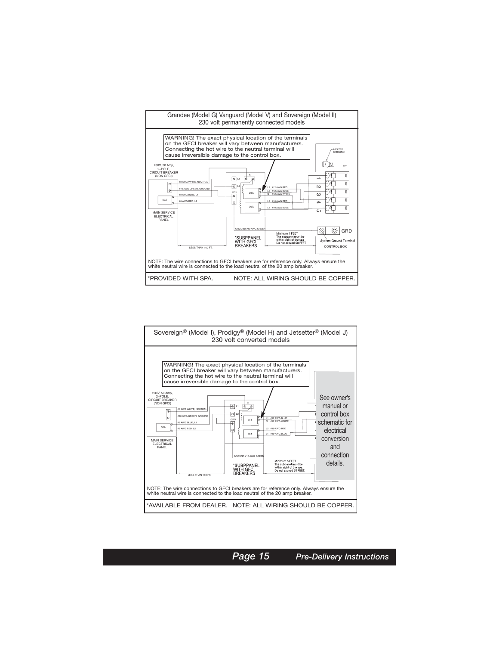



*x Page x x Page 15 Pre-Delivery Instructions*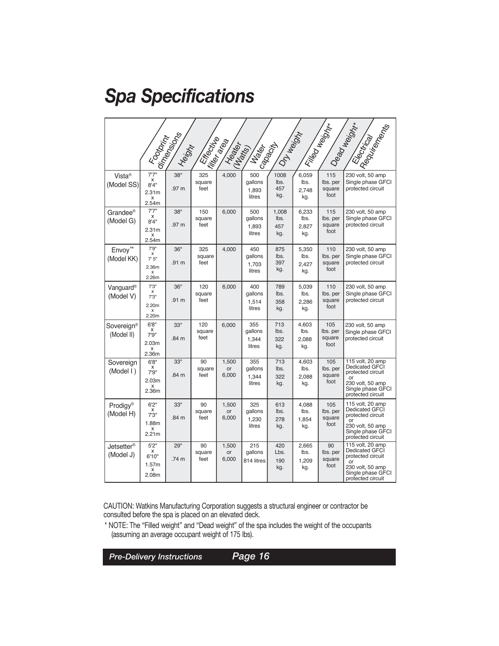# *Spa Specifications*

| I Filled Magistral<br>- Electrical I.<br>I Deadlessing<br><b>ISSUARY AND READ AND READ SERVER</b><br><b>Property Repair</b><br><b>Free</b> distance<br><b>I fite</b> area<br>- (Negro) |                                                        |                         |                       |                             |                                   |                             |                               |                                   |                                                                                                                                    |
|----------------------------------------------------------------------------------------------------------------------------------------------------------------------------------------|--------------------------------------------------------|-------------------------|-----------------------|-----------------------------|-----------------------------------|-----------------------------|-------------------------------|-----------------------------------|------------------------------------------------------------------------------------------------------------------------------------|
| Vista <sup>®</sup><br>(Model SS)                                                                                                                                                       | 7'7''<br>x<br>8'4''<br>2.31 <sub>m</sub><br>X<br>2.54m | 38"<br>.97 m            | 325<br>square<br>feet | 4,000                       | gallons<br>1,893<br>litres        | lbs.<br>457<br>kg.          | 6,059<br>lbs.<br>2.748<br>kg. | 115<br>lbs. per<br>square<br>foot | 230 volt, 50 amp<br>Single phase GFCI<br>protected circuit                                                                         |
| Grandee <sup>®</sup><br>(Model G)                                                                                                                                                      | 7'7''<br>x<br>8'4''<br>2.31 <sub>m</sub><br>x<br>2.54m | 38"<br>.97 m            | 150<br>square<br>feet | 6,000                       | 500<br>gallons<br>1,893<br>litres | 1,008<br>lbs.<br>457<br>kg. | 6.233<br>lbs.<br>2.827<br>kg. | 115<br>lbs. per<br>square<br>foot | 230 volt, 50 amp<br>Single phase GFCI<br>protected circuit                                                                         |
| Envoy <sup>™</sup><br>(Model KK)                                                                                                                                                       | 7'9''<br>x<br>7'5''<br>2.36m<br>X<br>2.26m             | 36"<br>.91 <sub>m</sub> | 325<br>square<br>feet | 4,000                       | 450<br>qallons<br>1,703<br>litres | 875<br>lbs.<br>397<br>kg.   | 5,350<br>lbs.<br>2.427<br>kq. | 110<br>lbs. per<br>square<br>foot | 230 volt, 50 amp<br>Single phase GFCI<br>protected circuit                                                                         |
| Vanguard®<br>(Model V)                                                                                                                                                                 | 7'3''<br>X<br>7'3''<br>2.20m<br>X<br>2.20m             | 36"<br>.91 m            | 120<br>square<br>feet | 6,000                       | 400<br>qallons<br>1,514<br>litres | 789<br>lbs.<br>358<br>kg.   | 5.039<br>lbs.<br>2,286<br>kg. | 110<br>lbs. per<br>square<br>foot | 230 volt, 50 amp<br>Single phase GFCI<br>protected circuit                                                                         |
| Sovereign®<br>(Model II)                                                                                                                                                               | 6'8''<br>х<br>7'9''<br>2.03 <sub>m</sub><br>x<br>2.36m | 33"<br>.84 m            | 120<br>square<br>feet | 6,000                       | 355<br>gallons<br>1,344<br>litres | 713<br>lbs.<br>322<br>kg.   | 4,603<br>lbs.<br>2,088<br>kg. | 105<br>lbs. per<br>square<br>foot | 230 volt, 50 amp<br>Single phase GFCI<br>protected circuit                                                                         |
| Sovereign<br>(Model I)                                                                                                                                                                 | 6'8''<br>x<br>7'9"<br>2.03 <sub>m</sub><br>x<br>2.36m  | 33"<br>.84 m            | 90<br>square<br>feet  | 1,500<br>or<br>6,000        | 355<br>gallons<br>1,344<br>litres | 713<br>lbs.<br>322<br>kg.   | 4,603<br>lbs.<br>2.088<br>kg. | 105<br>lbs. per<br>square<br>foot | 115 volt, 20 amp<br>Dedicated GFCI<br>protected circuit<br>or<br>230 volt, 50 amp<br>Single phase GFCI<br>protected circuit        |
| Prodigy <sup>®</sup><br>(Model H)                                                                                                                                                      | 6'2''<br>x<br>7'3''<br>1.88m<br>X<br>2.21 <sub>m</sub> | 33"<br>.84 m            | 90<br>square<br>feet  | 1,500<br><b>or</b><br>6,000 | 325<br>gallons<br>1,230<br>litres | 613<br>lbs.<br>278<br>kg.   | 4.088<br>lbs.<br>1.854<br>kg. | 105<br>lbs. per<br>square<br>foot | 115 volt, 20 amp<br><b>Dedicated GFCI</b><br>protected circuit<br>or<br>230 volt, 50 amp<br>Single phase GFCI<br>protected circuit |
| Jetsetter $^\circledast$<br>(Model J)                                                                                                                                                  | 5'2''<br>X<br>6'10"<br>1.57m<br>X<br>2.08m             | 29"<br>.74 m            | 90<br>square<br>feet  | 1,500<br><b>or</b><br>6,000 | 215<br>qallons<br>814 litres      | 420<br>Lbs.<br>190<br>kg.   | 2.665<br>lbs.<br>1.209<br>kg. | 90<br>lbs. per<br>square<br>foot  | 115 volt, 20 amp<br>Dedicated GFCI<br>protected circuit<br>or<br>230 volt, 50 amp<br>Single phase GFCI<br>protected circuit        |

CAUTION: Watkins Manufacturing Corporation suggests a structural engineer or contractor be consulted before the spa is placed on an elevated deck.

\* NOTE: The "Filled weight" and "Dead weight" of the spa includes the weight of the occupants (assuming an average occupant weight of 175 lbs).

*x Page x x Pre-Delivery Instructions Page 16*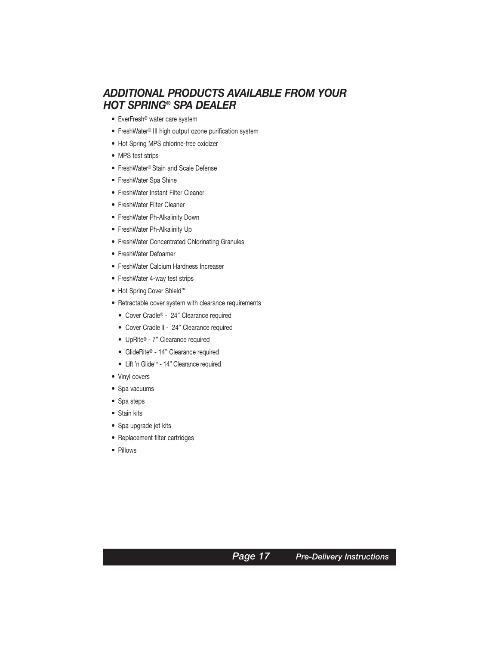#### *ADDITIONAL PRODUCTS AVAILABLE FROM YOUR HOT SPRING® SPA DEALER*

- EverFresh® water care system
- FreshWater® III high output ozone purification system
- Hot Spring MPS chlorine-free oxidizer
- MPS test strips
- FreshWater® Stain and Scale Defense
- FreshWater Spa Shine
- FreshWater Instant Filter Cleaner
- FreshWater Filter Cleaner
- FreshWater Ph-Alkalinity Down
- FreshWater Ph-Alkalinity Up
- FreshWater Concentrated Chlorinating Granules
- FreshWater Defoamer
- FreshWater Calcium Hardness Increaser
- FreshWater 4-way test strips
- Hot Spring Cover Shield™
- Retractable cover system with clearance requirements
	- Cover Cradle® 24" Clearance required
	- Cover Cradle II 24" Clearance required
	- UpRite® 7" Clearance required
	- GlideRite® 14" Clearance required
	- Lift 'n Glide™ 14" Clearance required
- Vinyl covers
- Spa vacuums
- Spa steps
- Stain kits
- Spa upgrade jet kits
- Replacement filter cartridges
- Pillows

*x Page x x Page 17 Pre-Delivery Instructions*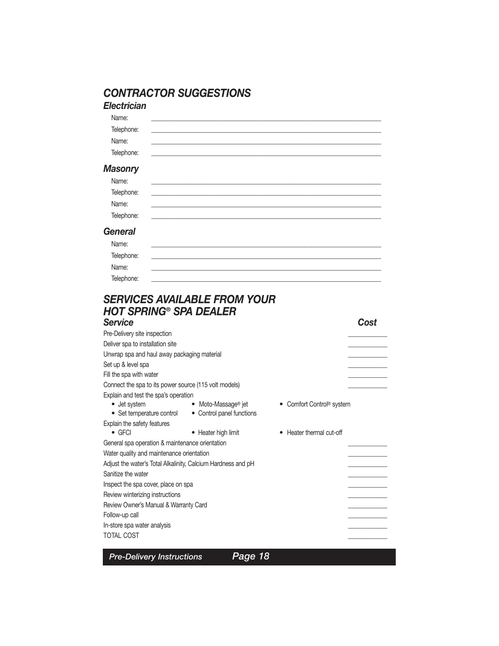### *CONTRACTOR SUGGESTIONS*

# *Electrician*

| 11.11                                   |  |
|-----------------------------------------|--|
| $\cdot$ at 10 11 $\rightarrow$<br>יטווי |  |

Name: Telephone:

#### *Masonry*

| Name:          |  |  |
|----------------|--|--|
| Telephone:     |  |  |
| Name:          |  |  |
| Telephone:     |  |  |
| <b>ieneral</b> |  |  |

### *General*

| Name:      |  |
|------------|--|
| Telephone: |  |
| Name:      |  |
| Telephone: |  |

### *SERVICES AVAILABLE FROM YOUR HOT SPRING® SPA DEALER*

| <b>Service</b>                                               |                           |                           | Cost |
|--------------------------------------------------------------|---------------------------|---------------------------|------|
| Pre-Delivery site inspection                                 |                           |                           |      |
| Deliver spa to installation site                             |                           |                           |      |
| Unwrap spa and haul away packaging material                  |                           |                           |      |
| Set up & level spa                                           |                           |                           |      |
| Fill the spa with water                                      |                           |                           |      |
| Connect the spa to its power source (115 volt models)        |                           |                           |      |
| Explain and test the spa's operation<br>• Jet system         | • Moto-Massage® jet       | • Comfort Control® system |      |
| • Set temperature control                                    | • Control panel functions |                           |      |
| Explain the safety features<br>$\bullet$ GFCI                | • Heater high limit       | Heater thermal cut-off    |      |
| General spa operation & maintenance orientation              |                           |                           |      |
| Water quality and maintenance orientation                    |                           |                           |      |
| Adjust the water's Total Alkalinity, Calcium Hardness and pH |                           |                           |      |
| Sanitize the water                                           |                           |                           |      |
| Inspect the spa cover, place on spa                          |                           |                           |      |
| Review winterizing instructions                              |                           |                           |      |
| Review Owner's Manual & Warranty Card                        |                           |                           |      |
| Follow-up call                                               |                           |                           |      |
| In-store spa water analysis                                  |                           |                           |      |
| <b>TOTAL COST</b>                                            |                           |                           |      |
|                                                              |                           |                           |      |
| <b>Pre-Delivery Instructions</b>                             | Page 18                   |                           |      |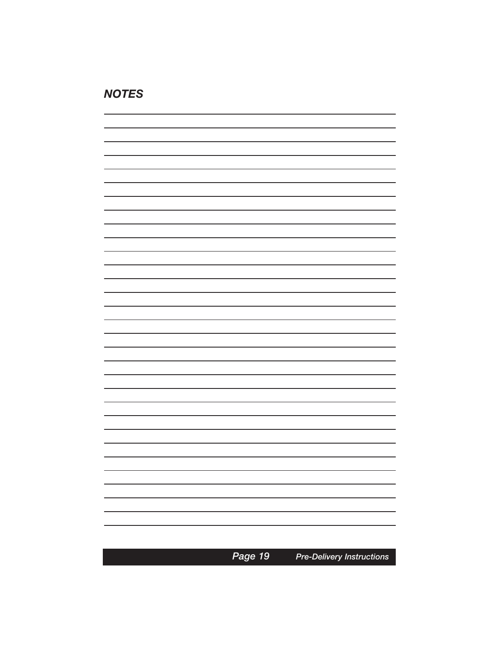### *NOTES*